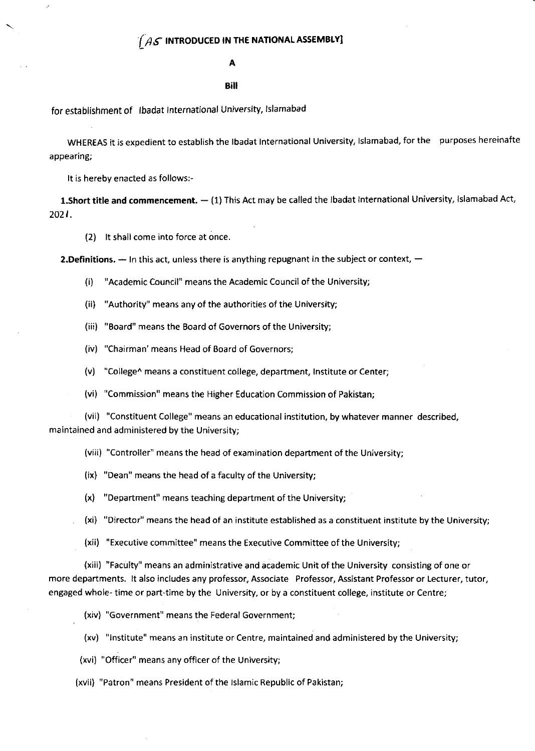# A

### **Bill**

for establishment of lbadat lnternational University, lslamabad

WHEREAS it is expedient to establish the Ibadat International University, Islamabad, for the purposes hereinafte appearing;

It is hereby enacted as follows:-

**1.Short title and commencement.** — (1) This Act may be called the Ibadat International University, Islamabad Act,<br> 2021.

(2) lt shall come into force at once.

**2.Definitions.** — In this act, unless there is anything repugnant in the subject or context,  $-$ 

- (i) "Academic Council" means the Academic Council of the University;
- (ii) "Authority" means any of the authorities of the University;
- (iii) "Board" means the Board of Governors of the University;
- (iv) "Chairman' means Head of Board of Governors;
- (v) "College^ means a constituent college, department, lnstitute or Center;
- (vi) "Commission" means the Higher Education Commission of Pakistan;

(vii) "Constituent College" means an educational institution, by whatever manner described, maintained and administered by the University;

- (viii) "Controller" means the head of examination department of the University;
- (ix) "Dean" means the head of a faculty of the University;
- (x) "Department" means teaching department of the University;
- (xi) "Director" means the head of an institute established as a constituent institute by the University;
- (xii) "Executive committee" means the Executive Committee of the University;

(xiii) "Faculty" means an administrative and academic Unit ofthe University consisting of one or more departments. lt also includes any professor, Associate Professor, Assistant Professor or Lecturer, tutor, engaged whole- time or part-time by the University, or by a constituent college, institute or Centre;

- (xiv) "Government" means the Federal Government;
- (xv) "lnstitute" means an institute or Centre, maintained and administered by the University;
- (xvi) "Officer" means any officer of the University;

.

(xvii) "Patron" means President of the lslamic Republic of Pakistan;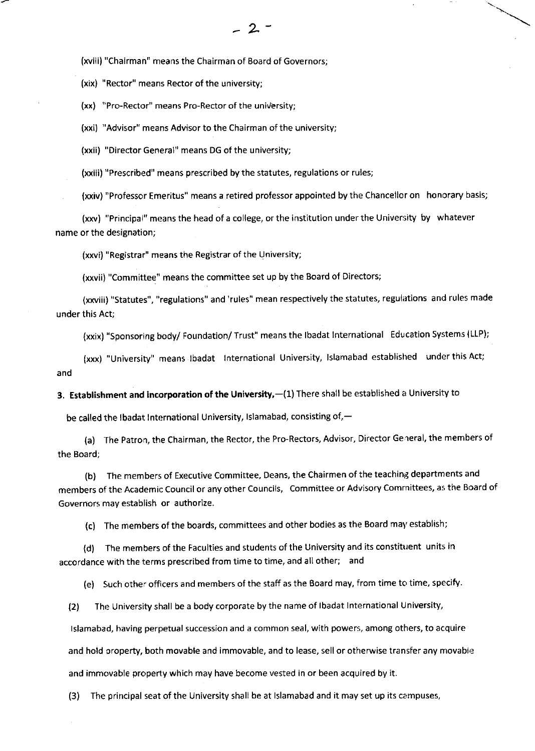(xviii) "Chairman" means the Chairman of Board of Governors;

(xix) "Rector" means Rector of the university;

(xx) "Pro-Rector" means Pro-Rector of the university;

(xxi) "Advisor" means Advisor to the Chairman of the university;

(xxii) "Director General" means DG of the university;

(xxiii) "Prescribed" means prescribed by the statutes, regulations or rules;

(xxiv) "Professor Emeritus" means a retired professor appointed by the Chancellor on honorary basis;

(xxv) "Principal" means the head of a college, or the institution under the University by whatever name or the designation;

(xxvi) "Registrar" means the Registrar of the University;

(xxvii) "Committee" means the committee set up by the Board of Directors;

(xxviii) "Statutes", "regulations" and 'rules" mean respectively the statutes, regulations and rules made under this Act;

(xxlx) "sponsoring body/ Foundation/ Trust" means the lbadat tnternational Education Systems {LLP);

(xxx) "University" means lbadat lnternational University, lslamabad established underthis Act; and

3. Establishment and incorporation of the University,-(1) There shall be established a University to

be called the Ibadat International University, Islamabad, consisting of, $-$ 

(a) The Patron, the Chairman, the Rector, the Pro-Rectors, Advisor, Director General, the members of the Board;

(b) The members of Executive Committee, Deans, the Chairmen of the teaching departments and members of the Academic Council or any other Councils, Committee or Advisory Comrnittees, as the Board of Governors may establish or authorize.

(c) The members of the boards, committees and other bodies as the Board may establish;

(d) The members of the Faculties and students of the University and its constituent units in accordance with the terms prescribed from time to time, and all other; and

(e) Such other officers and members of the staff as the Board may, from time to time, specify.

(2) The University shall be a body corporate by the name of lbadat lnternational University,

lslamabad, having perpetual succession and a common seal, with powers, among others, to acquire

and hold oroperty, both movable and immovable, and to lease, sell or otherwise transfer any movable

and immovable property which may have become vested in or been acquired by it.

(3) The principal seat of the University shall be at Islamabad and it may set up its campuses,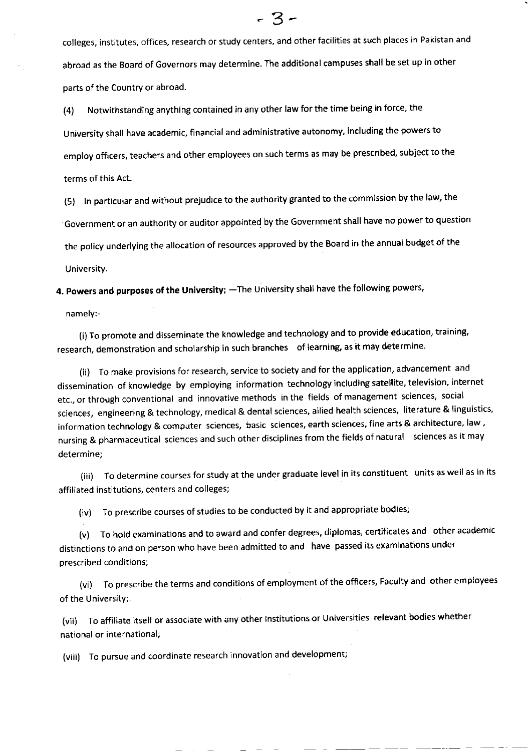colleges, institutes, offices, research or study centers, and other facilities at such places in Pakistan and abroad as the Board of Governors may determine. The additional campuses shall be set up in other parts of the Country or abroad.

(4) Notwithstanding anything contained in any other law for the time being in force, the university shall have academic, financial and administrative autonomy, including the powers to employ officers, teachers and other employees on such terms as may be prescribed, subject to the terms of this Act.

(5) ln particular and without prejudice to the authority granted to the commission by the law, the Government or an authority or auditor appointed by the Government shall have no power to question the policy underlying the allocation of resources approved by the Board in the annual budget of the <sup>U</sup>niversity.

4. Powers and purposes of the University; - The University shall have the following powers,

namely:-

(i) To promote and disseminate the knowledge and technology and to provide education, training, research, demonstration and scholarship in such branches of learning, as it may determine.

(ii) To make provisions for research, service to society and for the application, advancement and dissemination of knowledge by employing information technology including satellite, television, internet etc., or through conventional and innovative methods inthe fields ofmanagement sciences, social sciences, engineering & technology, medical & dental sciences, allied health sciences, literature & linguistics, information technology & computer sciences, basic sciences, earth sciences, fine arts & architecture, law, nursing & pharmaceutical sciences and such other disciplines from the fields of natural sciences as it may determine;

(iii) To determine courses for study at the under graduate level in its constituent units as well as in its affiliated institutions, centers and colleges;

(iv) To prescribe courses of studies to be conducted by it and appropriate bodies;

(v) To hold examinations and to award and confer degrees, diplomas, certificates and other academic distinctions to and on person who have been admitted to and have passed its examinations under prescribed conditions;

(vi) To prescribe the terms and conditions of employment of the officers, Faculty and other employees of the University;

(vii) To affiliate itself or associate with any other lnstitutions or Universities relevant bodies whether national or international;

(viii) To pursue and coordinate research innovation and development;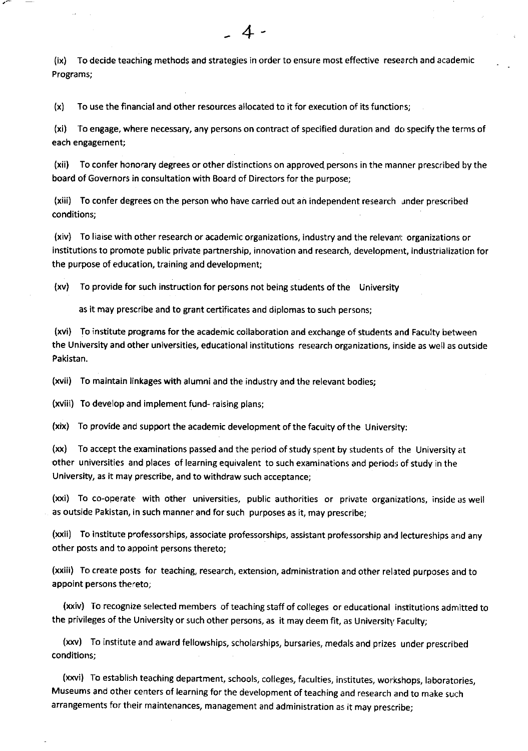(ix) To decide teaching methods and strategies in order to ensure most effective research and academic Programs;

+

(x) To use the financial and other resources allocated to it for execution of its functionsi

(xi) To engage, where necessary, any persons on contract of specified duration and do specify the terms of each engagement;

(xii) To confer honorary degrees or other distinctions on approved persons in the manner prescribed by the board of Governors in consultation with Board of Directors for the purpose;

(xiii) To confer degrees on the person who have carried out an independent research under prescribed conditions;

(xiv) To liaise with other research or academic organizations, industry and the relevant organizations or institutions to promote public private partnership, innovation and research, development, industrialization for the purpose of education, training and development;

(xv) To provide for such instruction for persons not being students of the University

as it may prescribe and to grant certificates and diplomas to such persons;

(xvi) To institute programs for the academic collaboration and exchange of students and Faculty between the University and other universities, educational institutions research organizations, inside as well as outside Pakistan.

(xvii) To maintain linkages with alumni and the industry and the relevant bodies;

(xviii) To develop and implement fund- raising plans;

(xix) To provide and support the academic development of the faculty of the University:

(xx) To acceptthe examinations passed and the period ofstudyspent by students of the University at other universities and places of learning equivalent to such examinations and periods of study in the University, as it may prescribe, and to withdraw such acceptance;

(xxi) To co-operate with other universities, public authorities or private organizations, inside as well as outside Pakistan, in such manner and for such purposes as it, may prescribe;

(xxii) To institute professorships, associate professorships, assistant professorship and lectureships and any other posts and to appolnt persons thereto;

(xxiii) To create posts for teaching, research, extension, administration and other related purposes and to appoint persons thereto;

(xxiv) To recognize selected members of teaching staff of colleges or educational institutions admitted to the privileges of the University or such other persons, as it may deem fit, as University Faculty;

(xxv) To institute and award fellowships, scholarships, bursaries, medals and prizes under prescribed conditions;

(xxvi) To establish teaching department, schools, colleges, faculties, institutes, workshops, laboratories, Museums and other centers of learning for the development of teaching and research and to make such arrangements for their maintenances, management and administration as it may prescribe;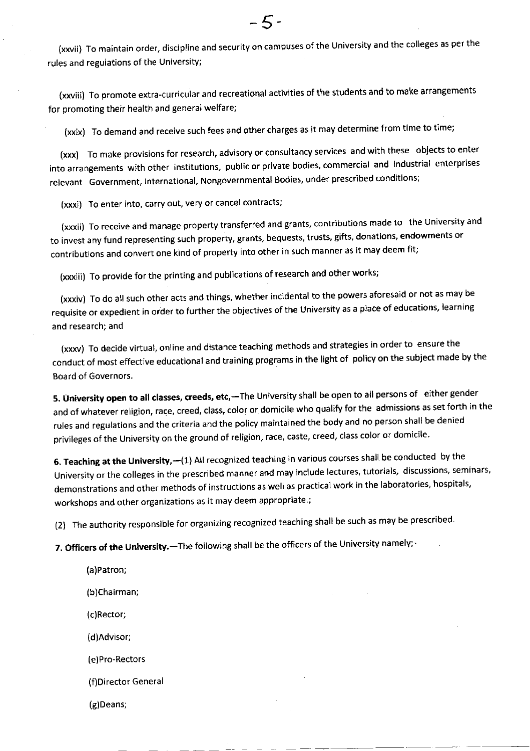(xxvii) To maintain order, discipline and security on campuses of the University and the colleges as per the rules and regulations of the University;

(xxviii) To promote extra-curricular and recreational activities of the students and to make arrangements for promoting their health and general welfare;

(xxix) To demand and receive such fees and other charges as it may determine from time to time;

(xxx) To make provisions for research, advisory or consultancy services and with these objects to enter into arrangements with other institutions, public or private bodies, commercial and industrial enterprises relevant Government, lnternational, Nongovernmental Bodies, under prescribed conditions;

(xxxi) To enter into, carry out, very or cancel contracts;

(xxxii) To receive and manage property transferred and grants, contributions made to the University and to invest any fund representing such property, grants, bequests, trusts, gifts, donations, endowments or contributions and convert one kind of property into other in such manner as it may deem fit;

(xxxiii) To provide for the printing and publications of research and other works;

(xxxiv) To do all such other acts and things, whether incidental to the powers aforesaid or not as may be requisite or expedient in order to further the objectives of the University as a place of educations, learning and research; and

(xxxv) To decide virtual, online and distance teaching methods and strategies in order to ensure the conduct of most effective educational and training programs in the light of policy on the subiect made by the Board of Governors.

5. University open to all classes, creeds, etc,-The University shall be open to all persons of either gender and of whatever religion, race, creed, class, color or domicile who qualify for the admissions as set forth in the rules and regulations and the criteria and the policy maintained the body and no person shall be denied privileges of the University on the ground of religion, race, caste, creed, class color or domicile.

6. Teaching at the University,-(1) All recognized teaching in various courses shall be conducted by the university or the colleges in the prescribed manner and may include lectures, tutorials, discussions, seminars' demonstrations and other methods of instructions as well as practical work in the laboratories, hospitals, workshops and other organizations as it may deem appropriate.;

(2) The authority responsible for organizing recognized teaching shall be such as may be prescribed.

7. Officers of the University.-The following shall be the officers of the University namely;-

(a)Patron; (b)Chairman; (c)Rector; (d)Advisor; (e)Pro-Rectors (f)Director General (g)Deans;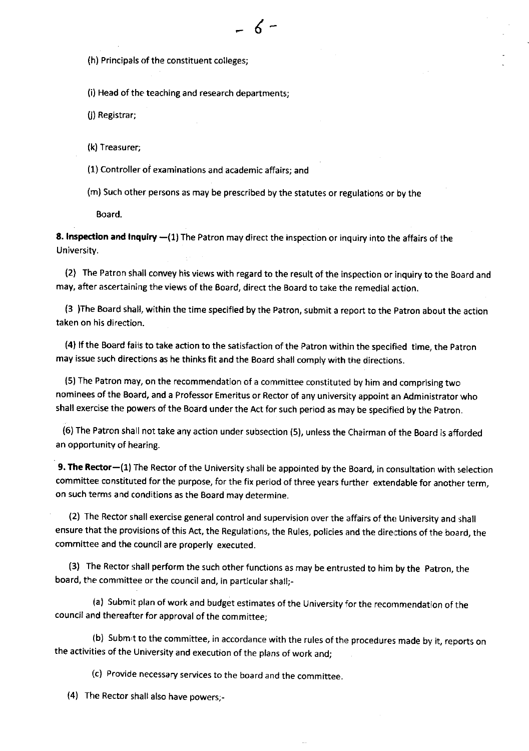(h) Principals of the constituent colleges;

(i) Head of the teaching and research departments;

(j) Registrar;

(k) Treasurer;

(1) Controller of examinations and academic affairs; and

(m) Such other persons as may be prescribed by the statutes or regulations or by the

6

Board.

8. Inspection and inquiry -(1) The Patron may direct the inspection or inquiry into the affairs of the University.

(2) The Patron shall convey his views with regard to the result of the inspection or inquiry to the Board and may, after ascertaining the views of the Board, direct the Board to take the remedial action.

(3 )The Board shall, within the time specified by the Patron, submit a report to the Patron about the action taken on his direction.

(4) If the Board fails to take action to the satisfaction of the Patron within the specified time, the Patron may issue such directions as he thinks fit and the Board shall comply with the directions.

(5) The Patron may, on the recommendation of a committee constituted by him and comprising two nominees of the Board, and a Professor Emeritus or Rector of any university appoint an Administrator who shall exercise the powers of the Board under the Act for such period as may be specified by the patron.

(6) The Patron shall not take any action under subsection (5), unless the Chairman of the Board is afforded an opportunity of hearing.

9. The Rector-(1) The Rector of the University shall be appointed by the Board, in consultation with selection committee constituted for the purpose, for the fix period of three years further extendable for another term, on such terms and conditions as the Board may determine.

(2) The Rector shall exercise general control and supervision over the affairs of the University and shall ensure that the provisions of this Act, the Regulations, the Rules, policies and the directions of the board, the committee and the council are properly executed.

(3) The Rector shall perform the such other functions as may be entrusted to him by the patron, the board, the committee or the council and, in particular shall;-

(a) Submit plan of work and budget estimates of the University for the recommendation of the council and thereafter for approval of the committee;

(b) subm't to the committee, in accordance with the rules of the procedures made by it, reports on the activities of the University and execution of the plans of work and;

(c) Provide necessary services to the board and the committee.

(4) The Rector shall also have powers;-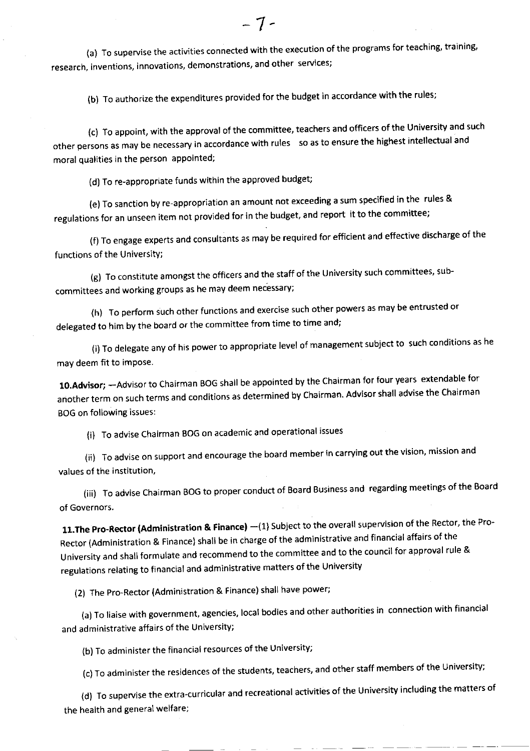(a) To supervise the activities connected with the execution of the programs for teaching, training, research, inventions, innovations, demonstrations, and other services;

(b) To authorize the expenditures provided for the budget in accordance with the rules;

(c) To appoint, with the approval of the committee, teachers and officers of the University and such other persons as may be necessary in accordance with rules so as to ensure the hlghest intellectual and moral qualities in the person appointed;

(d) To re-appropriate funds within the approved budget;

(e) To sanction by re-appropriation an amount not exceeding a sum specified in the rules & regulations for an unseen item not provided for in the budget, and report it to the committee;

(f) To engage experts and consultants as may be required for efficient and effective discharge of the functions of the UniversitY;

(g) To constitute amongst the officers and the staff of the University such committees, subcommittees and working groups as he may deem necessary;

(h) To perform such other functions and exercise such other powers as may be entrusted or delegated to him by the board or the committee from time to time and;

(i) To delegate any of his power to appropriate level of management subject to such conditions as he may deem fit to impose.

10.Advisor; - Advisor to Chairman BOG shall be appointed by the Chairman for four years extendable for another term on such terms and conditions as determined by chairman. Advisor shall advise the chairman BOG on following issues:

(i) To advise Chairman BoG on academic and operational issues

(ii) To advise on support and encourage the board member in carrying out the vision, mission and values of the institution,

(iii) To advise Chairman BOG to proper conduct of Board Business and regarding meetings of the Board of Governors.

11. The Pro-Rector (Administration & Finance) -(1) Subject to the overall supervision of the Rector, the Pro-Rector (Administration & Finance) shall be in charge of the administrative and financial affairs of the University and shall formulate and recommend to the committee and to the council for approval rule & regulations relating to financial and administrative matters of the University

(2) The Pro-Rector (Administration & Finance) shall have power;

(a) To liaise with government, agencies, local bodies and other authorities in connection with financial and administrative affairs of the University;

(b) To administer the financial resources of the University;

(c) To administer the residences of the students, teachers, and other staff members of the University;

(d) To supervise the extra-curricular and recreational activities of the University including the matters of the health and general welfare;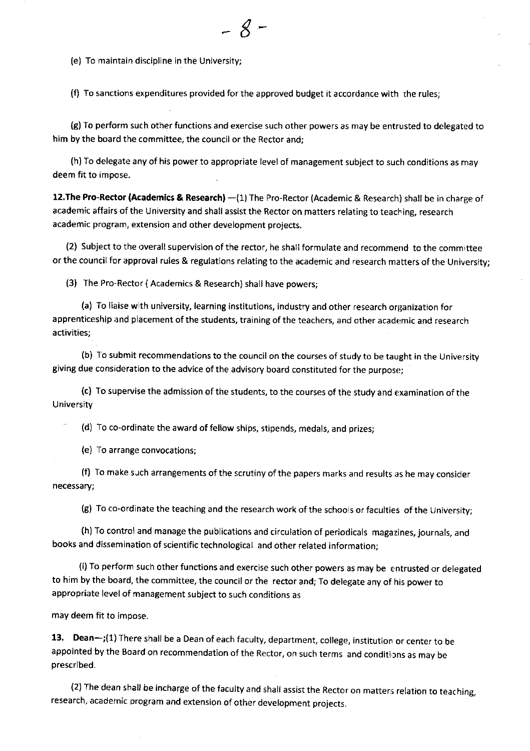(e) To maintain discipline in the University;

(f) To sanctions expenditures provided for the approved budget it accordance with rhe rules;

 $\mathcal{S}% _{M_{1},M_{2}}^{\alpha,\beta}(\varepsilon)$ 

(g) To perform such other functions and exercise such other powers as may be entrusted to delegated to him by the board the committee, the council or the Rector and;

(h) To delegate any of his power to appropriate level of management subject to such conditions as may deem fit to impose.

12. The Pro-Rector (Academics & Research) -(1) The Pro-Rector (Academic & Research) shall be in charge of academic affairs of the University and shall assist the Rector on matters relating to teach ing, research academic program, extension and other development proiects.

(2) Subject to the overall supervision of the rector, he shall formulate and recommend to the committee or the council for approval rules & regulations relating to the academic and research matters of the University;

(3) The Pro-Rector ( Academics & Research) shall have powers;

(a) To liaise wlth university, learning institutions, industry and other research organization for apprenticeship and placement of the students, training of the teachers, and other academic and research activities;

(b) To submit recommendations to the council on the courses of study to be taught in the University giving due consideration to the advice of the advisory board constituted for the purpose;

(c) To supervise the admission of the students, to the courses of the study and examination of the <sup>U</sup>niversity

(d) To co-ordinate the award of fellow ships, stipends, medals, and prizes;

(e) To arrange convocations;

(f) To make such arrangements of the scrutiny of the papers marks and results as he may consider necessary;

(g) To co-ordinate the teaching and the research work of the schools or faculties of the University;

(h) To control and manage the publications and circulation of periodicals magazines, journals, and books and dissemination of scientific technological and other related information;

(i) To perform such other functions and exercise such other powers as may be entrusted or delegated to him by the board, the committee, the council or the rector and; To delegate any of his power to appropriate level of management subject to such conditions as

may deem fit to impose.

13. Dean-;(1) There shall be a Dean of each faculty, department, college, institution or center to be appointed by the Board on recommendation of the Rector, on such terms and conditions as may be prescribed.

(2) The dean shall be incharge of the faculty and shall assist the Rector on matters relation to teaching, research, academic orogram and extension of other development projects.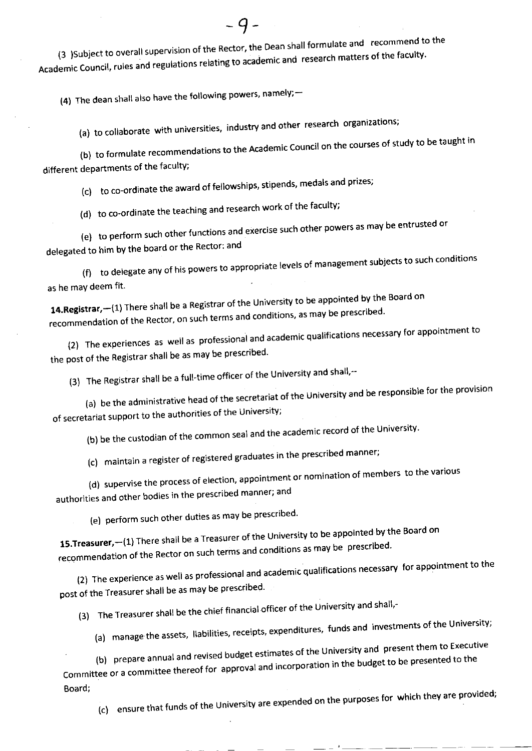(3 )Subject to overall supervision of the Rector, the Dean shall formulate and recommend to the Academic Council, rules and regulations relating to academic and research matters of the faculty.

 $-9-$ 

(4) The dean shall also have the following powers, namely; $-$ 

(a) to collaborate with universities, industry and other research organizations;

(b) to formulate recommendations to the Academic Council on the courses of study to be taught in different departments of the faculty;

(c) to co-ordinate the award of fellowships, stipends, medals and prizes;

(d) to co-ordinate the teaching and research work of the faculty;

(e) to perform such other functions and exercise such other powers as may be entrusted or

delegated to him bY the board or the Rector: and

to delegate any of his powers to appropriate levels of management subjects to such conditions (f) as he may deem fit

14.Registrar,-(1) There shall be a Registrar of the University to be appointed by the Board on recommendation of the Rector, on such terms and conditions, as may be prescribed.

(2) The experiences as well as professional and academic qualifications necessary for appointment to the post of the Registrar shall be as may be prescribed.

(3) The Registrar shall be a full-time officer of the University and shall,--

(a) be the administrative head of the secretariat of the University and be responsible for the provision of secretariat support to the authorities of the UniversitY;

(b) be the custodian of the common seal and the academic record of the University'

(c) maintain a register of registered graduates in the prescribed manner;

(d) supervise the process of election, appointment or nomination of members to the various

authorities and other bodies in the prescribed manner; and

(e) perform such other duties as may be prescribed.

15. Treasurer, -- (1) There shall be a Treasurer of the University to be appointed by the Board on recommendation of the Rector on such terms and conditions as may be prescribed.

(2) The experience as well as professional and academic qualifications necessary for appointment to the post of the Treasurer shall be as may be prescribed.

(3) The Treasurer shall be the chief financial officer of the University and shall,-

(a) manage the assets, liabilities, receipts, expenditures, funds and investments of the University;

(b) prepare annual and revised budget estimates of the University and present them to Executive Committee or a commiftee thereof for approval and incorporation in the budget to be presented to the Board;

(c) ensure that funds of the University are expended on the purposes for which they are provided;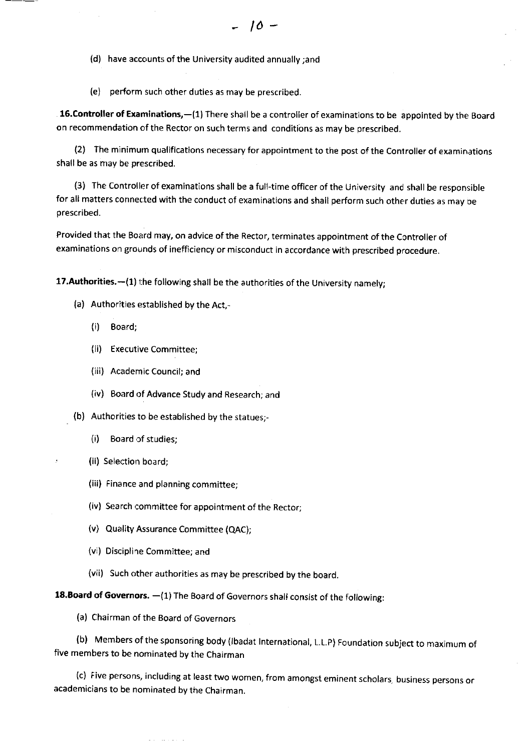(d) have accounts of the University audited annually ;and

(e) perform such other duties as may be prescribed

16.Controller of Examinations,-(1) There shall be a controller of examinations to be appointed by the Board on recommendation of the Rector on such terms and conditions as may be prescribed.

(2) The minimum qualifications necessary for appointment to the post of the Controller of examinations shall be as may be prescribed.

(3) The Controller of examinations shall be a full-time officer of the University and shall be responsible for all matters connected with the conduct of examinations and shall perform such other duties as may be prescribed.

Provided that the Board may, on advice of the Rector, terminates appointment of the Controller of examinations on grounds of inefficiency or misconduct in accordance with prescribed procedure.

17. Authorities. $-(1)$  the following shall be the authorities of the University namely;

- (a) Authorities established by the Act,-
	- (i) Board;
	- (ii) Executive Committee;
	- (iii) Academic Council; and
	- (iv) Board of Advance Study and Research; and
- (b) Authorities to be established by the statues;-
	- (i) Board of studies;
	- (ii) Selection board;
	- (iii) Finance and planning committee;
	- (iv) Search committee for appointment of the Rector;
	- (v) Quality Assurance Committee (QAC);
	- (vi) Discipline Committee; and
	- (vii) Such other authorities as may be prescribed by the board.

18.Board of Governors. - (1) The Board of Governors shall consist of the following:

(a) Chairman of the Board of Governors

and a state of

(b) Members ofthe sponsoring body (lbadat lnternational, L.L.P) Foundation subject to maximum of five members to be nominated by the Chairman

(c) Five persons, including at least two women, from amongst eminent scholars, business persons or academicians to be nominated by the Chairman.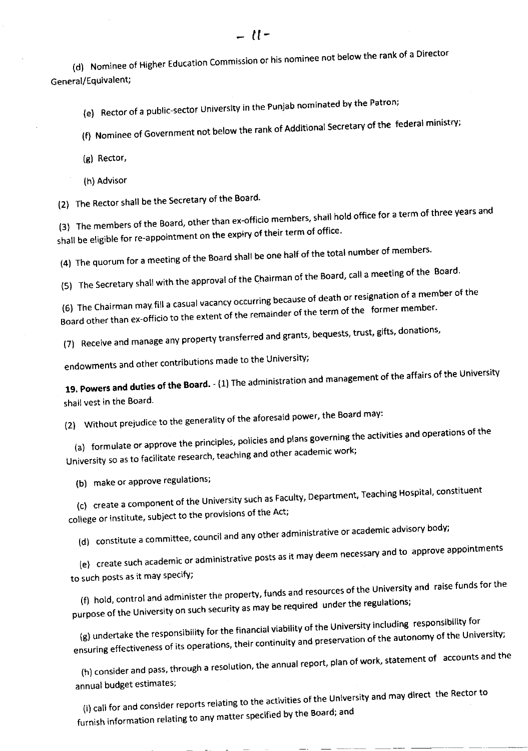(d) Nominee of Higher Education Commission or his nominee not below the rank of a Director General/Equivalent;

(e) Rector of a public-sector University in the Punjab nominated by the Patron;

(f) Nominee of Government not below the rank of Additional Secretary of the federal ministry;

(B) Rector,

(h) Advisor

(2) The Rector shall be the Secretary of the Board'

(3) The members of the Board, other than ex-officio members, shall hold office for a term of three years and shall be eligible for re-appointment on the expiry of their term of office.

(4) The quorum for a meeting of the Board shall be one half of the total number of members.

(5) The Secretary shall with the approval of the Chairman of the Board, call a meeting of the Board.

(6) The Chairman may fill a casual vacancy occurring because of death or resignation of a member of the (6) The Chairman may in a casual receive,  $\frac{1}{100}$ <br>Board other than ex-officio to the extent of the remainder of the term of the former member

(7) Receive and manage any property transferred and grants, bequests, trust, gifts, donations,

endowments and other contributions made to the University;

19. Powers and duties of the Board. - (1) The administration and management of the affairs of the University shall vest in the Board.

(2) Without prejudice to the generality of the aforesaid power, the Board may:

(a) formulate or approve the principles, policies and plans governing the activities and operations of the University so as to facilitate research, teaching and other academic work;

(b) make or approve regulations;

(c) create a component of the University such as Faculty, Department, Teaching Hospital, constituent college or institute, subject to the provisions of the Act;

(d) constitute a committee, council and any other administrative or academic advisory body;

(e) create such academic or administratlve posts as it may deem necessary and to approve appointments to such posts as it may specify;

(f) hold, control and administer the property, funds and resources of the University and raise funds for the purpose of the University on such security as may be required under the regulations;

(g) undertake the responsibility for the financial viability of the University including responsibility for ensuring effectiveness of its operations, their continuity and preservation of the autonomy of the University;

annual budget estimates; (h) consider and pass, through a resolution, the annual report, plan of work, statement of accounts and the

Indeed and Consider reports relating to the activities of the University and may direct the Rector to<br>i) call for and consider reports relating to the activities of the Board: and furnish information relating to anY matter specified by the Board; and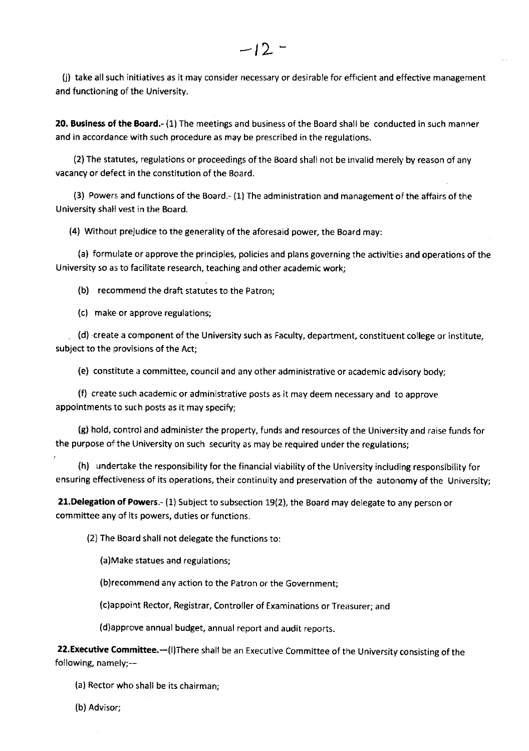U) take all such initiatives as it may consider necessary or desirable for efficient and effective management and functioning of the University.

20. Business of the Board.- (1) The meetings and business of the Board shall be conducted in such manner and in accordance with such procedure as may be prescribed in the regulations.

(2) The statutes, regulations or proceedings of the Board shall not be invalid merely by reason of any vacancy or defect in the constitution of the Board.

(3) Powers and functions ofthe Board.- (1) The administration and management ofthe affairs of the University shall vest in the Board.

(4) Without prejudice to the generality of the aforesaid power, the Board may:

(a) formulate or approve the principles, policies and plans governing the activities and operations of the University so as to facilitate research, teaching and other academic work;

(b) recommend the draft statutes to the Patron;

(c) make or approve regulations;

(d) create a component of the University such as Faculty, department, constituent college or institute, subject to the provisions of the Act;

(e) constitute a committee, council and any other administrative or academic advisory body;

(f) create such academic or administrative posts as it may deem necessary and to approve appointments to such posts as it may specify;

(g) hold, control and administer the property, funds and resources of the University and raise funds for the purpose of the University on such security as may be required under the regulations;

(h) undertake the responsibility for the financial viability of the University including responsibility for ensuring effectiveness of its operations, their continuity and preservation of the autonomy of the University;

2l.Delegation of Powers.- (1) Subject to subsection 19(2), the Board may delegate to any person or committee any of its powers, duties or functions.

(2) The Board shall not delegate the functions to:

(a)Make statues and regulations;

(b)recommend any action to the Patron or the Government;

(c)appoint Rector, Registrar, Controller of Examinations or Treasurer; and

(d)approve annual budget, annual report and audit reports.

22. Executive Committee. - (I)There shall be an Executive Committee of the University consisting of the following, namely;--

(a) Rector who shall be its chairman;

(b) Advisor;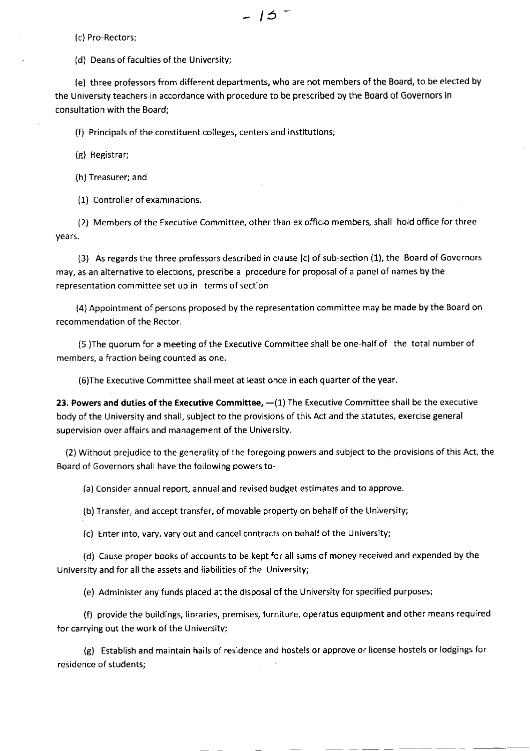(c) Pro-Rectors;

(d) Deans of faculties of the University;

(e) three professors from different departments, who are not members of the Board, to be elected by the University teachers in accordance with procedure to be prescribed by the Board of Governors in consultation with the Board;

(f) Principals of the constituent colleges, centers and institutions;

(g) Registrar;

(h) Treasurer; and

(1) Controller of examinations.

(2) Members of the Executive Committee, other than ex officio members, shall hold office for three years.

(3) As regards the three professors described in clause (c) of sub-section (1), the Board of Governors may, as an alternative to elections, prescribe a procedure for proposal of a panel of names by the representation committee set up in terms of section

(4) Appointment of persons proposed by the representation committee may be made by the Board on recommendation of the Rector.

(5 )The quorum for a meeting of the Executive Committee shall be one-half of the total number of members, a fraction being counted as one.

(6)The Executive Committee shall meet at least once in each quarter of the year.

23. Powers and duties of the Executive Committee,  $-(1)$  The Executive Committee shall be the executive body of the University and shall, subject to the provisions of this Act and the statutes, exercise general supervision over affairs and management of the University.

(2) Without prejudice to the generality of the foregoing powers and subject to the provisions of this Act, the Board of Governors shall have the following powers to-

(a) Consider annual report, annual and revised budget estimates and to approve.

(b) Transfer, and accept transfer, of movable property on behalf of the University;

(c) Enter into, vary, vary out and cancel contracts on behalf of the University;

(d) Cause proper books of accounts to be kept for all sums of money received and expended by the University and for all the assets and liabilities of the University;

(e) Administer any funds placed at the disposal of the University for specified purposes;

(f) provide the buildings, libraries, premises, furniture, operatus equipment and other means required for carrying out the work of the University;

(g) Establish and maintain halls of residence and hostels or approve or license hostels or lodgings for residence of students;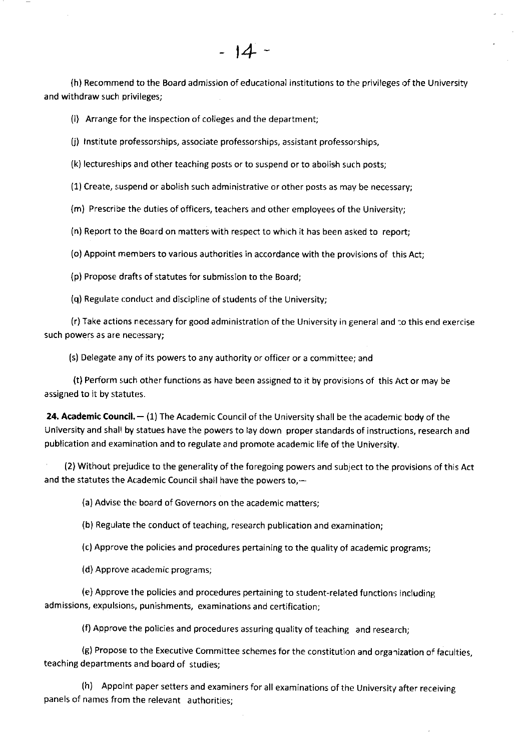(h) Recommend to the Board admission of educational institutions to the privileges of the University and withdraw such privileges;

 $\overline{4}$ 

(i) Arrange for the inspection of colleges and the department;

(j) Institute professorships, associate professorships, assistant professorships,

(k) lectureships and other teaching posts or to suspend or to abolish such posts;

(1) Create, suspend or abolish such administrative or other posts as may be necessary;

(m) Prescribe the duties of officers, teachers and other employees of the University;

(n) Report to the Board on matters with respect to which it has been asked to report;

(o) Appoint members to various authorities in accordance with the provisions of this Act;

(p) Propose drafts of statutes for submission to the Board;

(q) Regulate conduct and discipline of students of the University;

(r) Take actions necessary for good administration of the University in general and ':o this end exercise such powers as are necessary;

(s) Delegate any of its powers to any authority or officer or a committee; and

(t) Perform such other functions as have been assigned to it by provisions of this Act or may be assigned to it by statutes.

**24. Academic Council.**  $-$  (1) The Academic Council of the University shall be the academic <mark>body</mark> of the University and shall by statues have the powers to lay down proper standards of instructions, research and publication and examination and to regulate and promote academic life of the University.

(2) Without prejudice to the generality of the foregoing powers and subject to the provisions of this Act and the statutes the Academic Council shall have the powers to, $-$ 

(a) Advise the board of Governors on the academic mafters;

(b) Regulate the conduct of teaching, research publication and examination;

(c) Approve the policies and procedures pertaining to the quality of academic programs;

(d) Approve academic programs;

(e) Approve the policies and procedures pertaining to student-related functions including admissions, expulsions;, punishments, examinations and certification;

(f) Approve the policies and procedures assuring quality of teaching and research;

(g) Propose to the Executive Committee schemes for the constitution and organization of faculties, teaching departments and board of studies;

(h) Appoint paper setters and examiners for all examinations of the University after receiving panels of names from the relevant authorities;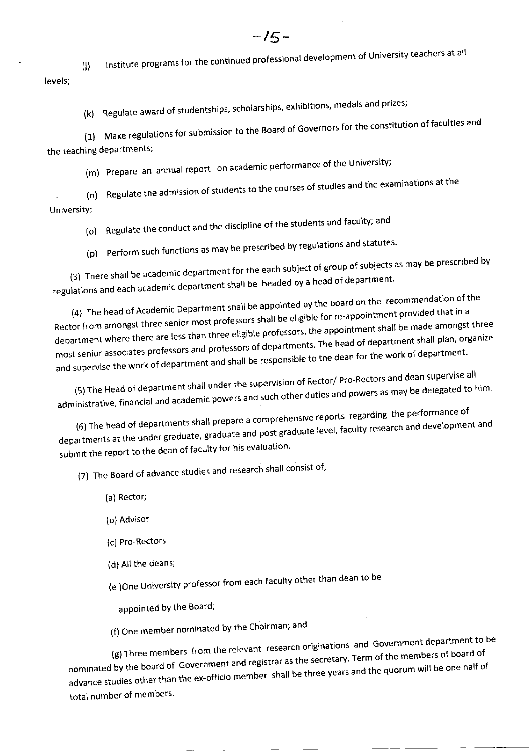levels;  $(i)$ lnstitute programs for the continued professional development of Universitv teachers at all

(k) Regulate award of studentships, scholarships, exhibitions, medals and prizes;

(1) Make regulations for submission to the Board of Governors for the constitution of faculties and the teaching departments;

(m) Prepare an annual report on academic performance of the UniversitY;

. (n) Regulate the admission of students to the courses of studies and the examinations at the <sup>U</sup>niversitY;

(o) Regulate the conduct and the discipline of the students and faculty; and

(p) Perform such functions as may be prescribed by regulations and statutes.

(3) There shall be academic department for the each subject of group of subjects as may be prescribed by regulations and each academic department shall be headed by a head of department.

(4) The head of Academic Department shall be appointed by the board on the recommendation of the Rector from amongst three senior most professors shall be eligible for re-appointment provided that in a department where there are less than three eligible professors, the appointment shall be made amongst three most senior associates professors and professors of departments. The head of department shall plan, organize and supervise the work of department and shall be responsible to the dean for the work of department.

(5) The Head of department shall under the supervision of Rector/ Pro-Rectors and dean supervise all (5) The Head of department shall under the supervision of the conditions as may be delegated to him-<br>administrative, financial and academic powers and such other duties and powers as may be delegated to him-

mstrative, middella end<br>(6) The head of departments shall prepare a comprehensive reports regarding the performance of departments at the under graduate, graduate and post graduate level, faculty research and development and submit the report to the dean of faculty for his evaluation.

(7) The Board of advance studies and research shall consist of,

- (a) Rector;
- (b) Advisor
- (c) Pro-Rectors
- (d) All the deans;

(e )One University professor from each faculty other than dean to be

appointed by the Board;

(f) One member nominated by the Chairman; and

(g) Three members from the relevant research originations and Government department to be nominated by the board of Government and registrar as the secretary. Term of the members of board of advance studies other than the ex-officio member shall be three years and the quorum will be one half of total number of members.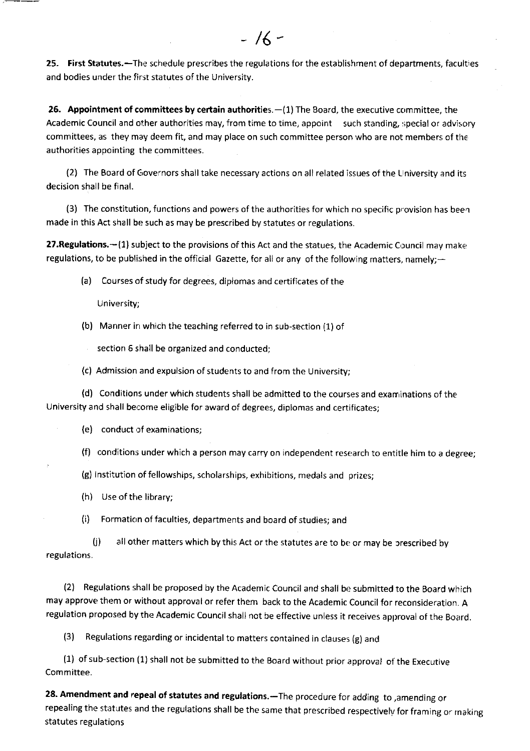25. First Statutes.-The schedule prescribes the regulations for the establishment of departments, faculties and bodies under the first statutes of the University.

 $-16-$ 

26. Appointment of committees by certain authorities.  $-(1)$  The Board, the executive committee, the Academic Council and other authorities may, from time to time, appoint such standing, special or advisory committees, as they may deem fit, and may place on such committee person who are not members of the authorities appointing the committees.

(2) The Board of Governors shall take necessary actions on all related issues of the University and its decision shall be final.

(3) The constitution, functions and powers of the authorities for which no specific provision has been made in this Act shall be such as may be prescribed by statutes or regulations.

27. Regulations. - (1) subject to the provisions of this Act and the statues, the Academic Council may make regulations, to be published in the official Gazette, for all or any of the following matters, namely; $-$ 

(a) Courses of study for degrees, diplomas and certificates of the

<sup>U</sup>niversity;

(b) Manner in which the teaching referred to in sub-section (1) of

section 5 shall be organized and conducted;

(c) Admission and expulsion of students to and from the University;

(d) Conditions under which students shall be admitted to the courses and exan inations of the University and shall become eliglble for award of degrees, diplomas and certificates;

(e) conduct of examinations;

(f) conditions under which a person may carry on independent research to entitle him to a degree;

(g) lnstitution of fellowships, scholarships, exhibitions, medals and prizes;

(h) Use of the library;

(i) Formation offaculties, departments and board of studies; and

(j) all other matters which by this Act or the statutes are to be or may be prescribed by regulations.

(2) Regulations shall be proposed by the Academic Council and shall be submitted to the Board which may approve them or without approval or refer them back to the Academic Council for reconsideration. A regulation proposed by the Academic Council shall not be effective unless it receives approval of the Board.

(3) Regulations regarding or incidental to matters contained in clauses (g) and

(1) of sub-section (1) shall not be submitted to the Board without prior approval of the Executive Committee.

28. Amendment and repeal of statutes and regulations.-The procedure for adding to ,amending or repealing the statutes and the regulations shall be the same that prescribed respectively for framing or making statutes regulations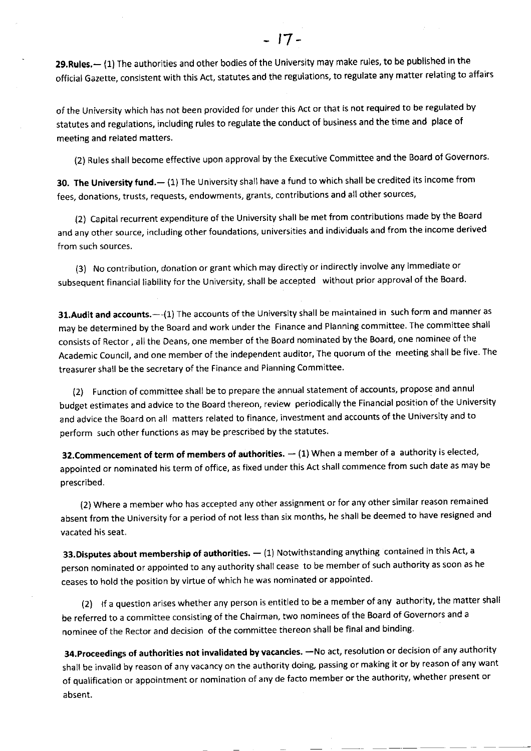29. Rules. - (1) The authorities and other bodies of the University may make rules, to be published in the official Gazette, consistent with this Act, statutes and the regulations, to regulate any matter relating to affairs

of the university which has not been provided for under this Act or that is not required to be regulated by statutes and regulations, including rules to regulate the conduct of business and the time and place of meeting and related matters.

(2) Rules shall become effective upon approval by the Executive Committee and the Board of Governors

30. The University fund.- (1) The University shall have a fund to which shall be credited its income from fees, donations, trusts, requests, endowments, grants, contributions and all other sources,

(2) Capital recurrent expenditure of the University shall be met from contributions made by the Board and any other source, including other foundations, universities and individuals and from the income derived from such sources.

(3) No contribution, donation or grant which may directly or indirectly involve any immediate or subsequent flnancial liability for the University, shall be accepted without prior approval of the Board.

31. Audit and accounts. --- (1) The accounts of the University shall be maintained in such form and manner as may be determined by the Board and work under the Finance and Planning committee. The committee shall consists of Rector, all the Deans, one member of the Board nominated by the Board, one nominee of the Academic council, and one member of the independent auditor, The quorum of the meeting shall be five. The treasurer shall be the secretary of the Finance and Planning Committee.

(2) Function of committee shalt be to prepare the annual statement of accounts, propose and annul budget estimates and advice to the Board thereon, review periodically the Financial position of the University and advice the Board on all matters related to finance, investment and accounts of the University and to perform such other functions as may be prescribed by the statutes.

**32. Commencement of term of members of authorities.**  $-$  (1) When a member of a authority is elected, appointed or nominated his term of office, as fixed under this Act shall commence from such date as may be prescribed.

(2) Where a member who has accepted any other assignment or for any other similar reason remained absent from the University for a period of not less than six months, he shall be deemed to have resigned and vacated his seat.

**33.Disputes about membership of authorities.**  $-$  (1) Notwithstanding anything contained in this Act, and the second contained in this Act, and the second contained in this Act, and the second contained in the second con person nominated or appointed to any authority shall cease to be member of such authority as soon as he ceases to hold the position by virtue of which he was nominated or appointed'

(2) lf a question arises whether any person is entitled to be a member of any authority, the matter shall be referred to a committee consisting of the Chairman, two nominees of the Board of Governors and <sup>a</sup> nominee of the Rector and decision of the committee thereon shall be final and binding.

34.Proceedings of authorities not invalidated by vacancies. - No act, resolution or decision of any authority shall be invalid by reason of any vacancy on the authority doing, passing or making it or by reason of any want of qualification or appointment or nomination of any de facto member or the authority, whether present or absent.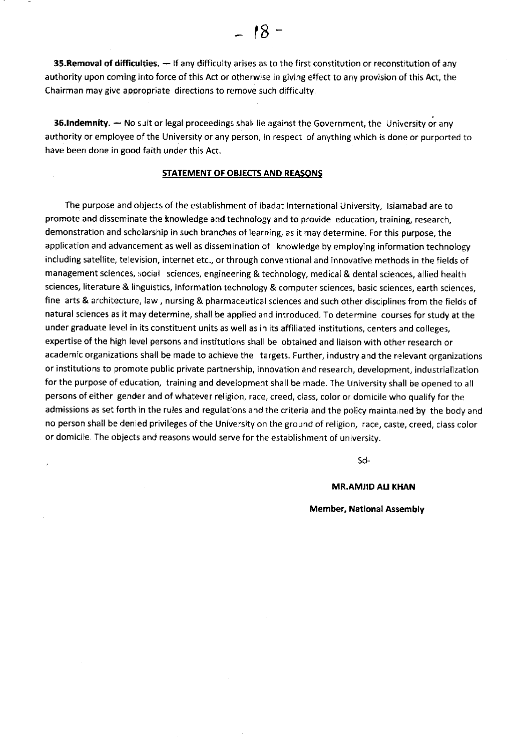**35. Removal of difficulties.**  $-$  If any difficulty arises as to the first constitution or reconstitution of any authority upon coming into force of this Act or otherwise in giving effect to any provision of this Act, the Chairman may give appropriate directions to remove such difficulty.

36.Indemnity. - No suit or legal proceedings shall lie against the Government, the University or any authority or employee of the University or any person, in respect of anything which is done or purported to have been done in good faith under this Act.

## STATEMENT OF OBJECTS AND REASONS

The purpose and objects of the establishment of lbadat lnternational University, lslamabad are to promote and disseminate the knowledge and technology and to provide education, training, research, demonstration and scholarship in such branches of learning, as it may determine. For this purpose, the application and advancement as well as dissemination of knowledge by employing information technology including satellite, television, internet etc., or through conventional and innovative methods in the fields of management sciences, social sciences, engineering & technology, medical & dental sciences, allied health sciences, literature & linguistics, information technology & computer sciences, basic sciences, earth sciences, fine arts & architecture, law, nursing & pharmaceutical sciences and such other disciplines from the fields of natural sciences as it may determine, shall be applied and Introduced. To determine courses for study at the under graduate level in its constituent units as well as in its affiliated institutions, centers and colleges, expertise of the high level persons and institutions shall be obtained and liaison with other research or academic organizations shall be made to achieve the targets. Further, industry and the relevant organizations or institutions to promote public private partnership, innovation and research, development, industrialization for the purpose of education, training and development shall be made. The University shall be opened to all persons of either gender and of whatever religion, race, creed, class, color or domicile who qualify for the admissions as set forth in the rules and regulations and the criteria and the policy mainta ned by the body and no person shall be denied privileges of the University on the ground of religion, race, caste, creed, class color or domicile, The objects and reasons would serve for the establishment of university.

Sd

### **MR.AMJID ALI KHAN**

#### Member, National Assembly